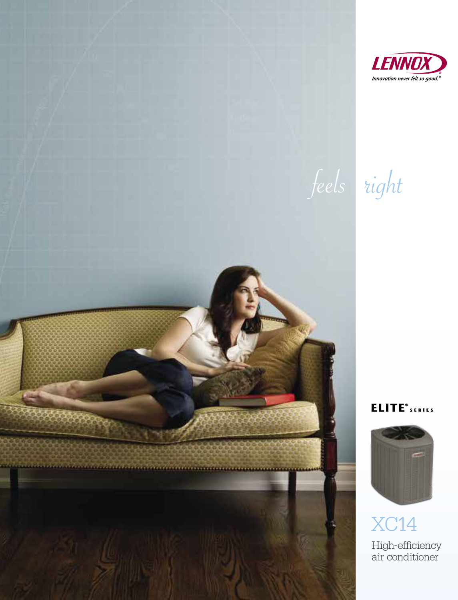

feels right

**ELITE**<sup>®</sup> SERIES



**XC14** High-efficiency<br>air conditioner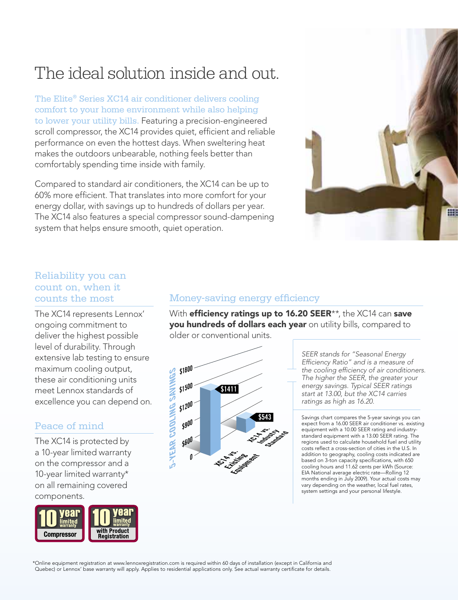# The ideal solution inside and out.

The Elite® Series XC14 air conditioner delivers cooling comfort to your home environment while also helping to lower your utility bills. Featuring a precision-engineered scroll compressor, the XC14 provides quiet, efficient and reliable performance on even the hottest days. When sweltering heat makes the outdoors unbearable, nothing feels better than comfortably spending time inside with family.

Compared to standard air conditioners, the XC14 can be up to 60% more efficient. That translates into more comfort for your energy dollar, with savings up to hundreds of dollars per year. The XC14 also features a special compressor sound-dampening system that helps ensure smooth, quiet operation.



#### Reliability you can count on, when it counts the most

The XC14 represents Lennox' ongoing commitment to deliver the highest possible level of durability. Through extensive lab testing to ensure maximum cooling output, these air conditioning units meet Lennox standards of excellence you can depend on.

## Peace of mind

The XC14 is protected by a 10-year limited warranty on the compressor and a 10-year limited warranty\* on all remaining covered components.



#### Money-saving energy efficiency

With efficiency ratings up to 16.20 SEER\*\*, the XC14 can save you hundreds of dollars each year on utility bills, compared to older or conventional units.



*SEER stands for "Seasonal Energy Efficiency Ratio" and is a measure of the cooling efficiency of air conditioners. The higher the SEER, the greater your energy savings. Typical SEER ratings start at 13.00, but the XC14 carries ratings as high as 16.20.* 

Savings chart compares the 5-year savings you can expect from a 16.00 SEER air conditioner vs. existing equipment with a 10.00 SEER rating and industrystandard equipment with a 13.00 SEER rating. The regions used to calculate household fuel and utility costs reflect a cross-section of cities in the U.S. In addition to geography, cooling costs indicated are based on 3-ton capacity specifications, with 650 cooling hours and 11.62 cents per kWh (Source: EIA National average electric rate—Rolling 12 months ending in July 2009). Your actual costs may vary depending on the weather, local fuel rates, system settings and your personal lifestyle.

\*Online equipment registration at www.lennoxregistration.com is required within 60 days of installation (except in California and Quebec) or Lennox' base warranty will apply. Applies to residential applications only. See actual warranty certificate for details.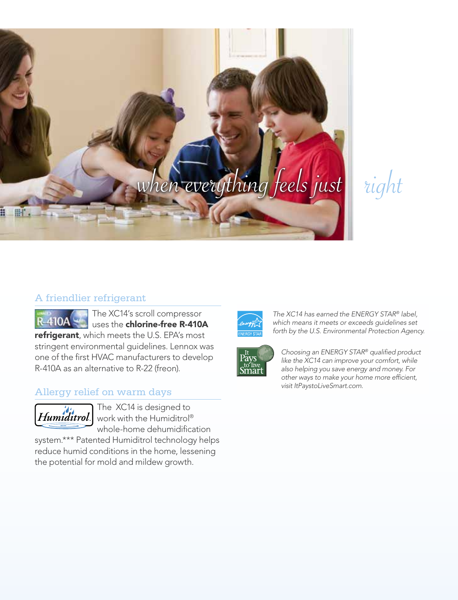

right

### A friendlier refrigerant

The XC14's scroll compressor **R-410A** uses the chlorine-free R-410A refrigerant, which meets the U.S. EPA's most stringent environmental guidelines. Lennox was one of the first HVAC manufacturers to develop R-410A as an alternative to R-22 (freon).

#### Allergy relief on warm days



The XC14 is designed to  $\left| Humiditrol \right|$  work with the Humiditrol® whole-home dehumidification

system.\*\*\* Patented Humiditrol technology helps reduce humid conditions in the home, lessening the potential for mold and mildew growth.



*The XC14 has earned the ENERGY STAR® label, which means it meets or exceeds guidelines set forth by the U.S. Environmental Protection Agency.*



*Choosing an ENERGY STAR® qualified product like the XC14 can improve your comfort, while also helping you save energy and money. For other ways to make your home more efficient, visit ItPaystoLiveSmart.com.*